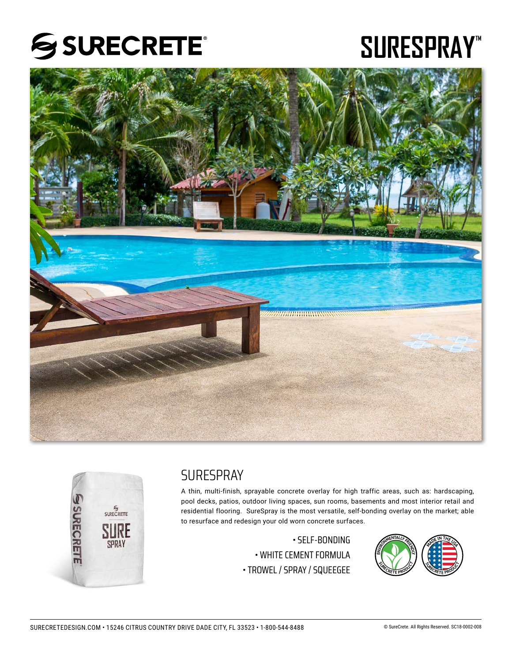

# SURESPRAY<sup>\*\*</sup>





## **SURFSPRAY**

A thin, multi-finish, sprayable concrete overlay for high traffic areas, such as: hardscaping, pool decks, patios, outdoor living spaces, sun rooms, basements and most interior retail and residential flooring. SureSpray is the most versatile, self-bonding overlay on the market; able to resurface and redesign your old worn concrete surfaces.

> • SELF-BONDING • WHITE CEMENT FORMULA • TROWEL / SPRAY / SQUEEGEE